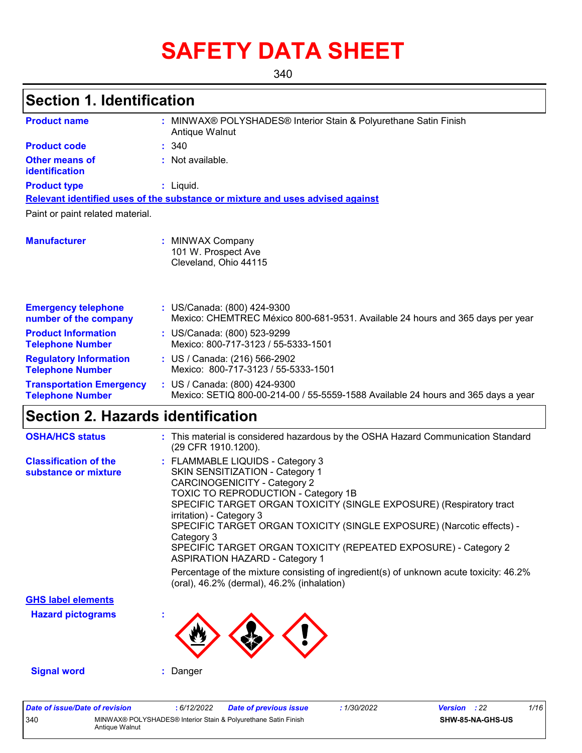# **SAFETY DATA SHEET**

340

## **Section 1. Identification**

| <b>Product name</b>                                        | : MINWAX® POLYSHADES® Interior Stain & Polyurethane Satin Finish<br>Antique Walnut                                 |
|------------------------------------------------------------|--------------------------------------------------------------------------------------------------------------------|
| <b>Product code</b>                                        | : 340                                                                                                              |
| <b>Other means of</b><br>identification                    | : Not available.                                                                                                   |
| <b>Product type</b>                                        | $:$ Liquid.                                                                                                        |
|                                                            | Relevant identified uses of the substance or mixture and uses advised against                                      |
| Paint or paint related material.                           |                                                                                                                    |
| <b>Manufacturer</b>                                        | : MINWAX Company<br>101 W. Prospect Ave<br>Cleveland, Ohio 44115                                                   |
| <b>Emergency telephone</b><br>number of the company        | : US/Canada: (800) 424-9300<br>Mexico: CHEMTREC México 800-681-9531. Available 24 hours and 365 days per year      |
| <b>Product Information</b><br><b>Telephone Number</b>      | : US/Canada: (800) 523-9299<br>Mexico: 800-717-3123 / 55-5333-1501                                                 |
| <b>Regulatory Information</b><br><b>Telephone Number</b>   | : US / Canada: (216) 566-2902<br>Mexico: 800-717-3123 / 55-5333-1501                                               |
| <b>Transportation Emergency</b><br><b>Telephone Number</b> | : US / Canada: (800) 424-9300<br>Mexico: SETIQ 800-00-214-00 / 55-5559-1588 Available 24 hours and 365 days a year |

## **Section 2. Hazards identification**

| <b>OSHA/HCS status</b>                               | : This material is considered hazardous by the OSHA Hazard Communication Standard<br>(29 CFR 1910.1200).                                                                                                                                                                                                                                                                                                                                                                                                                                                                                        |
|------------------------------------------------------|-------------------------------------------------------------------------------------------------------------------------------------------------------------------------------------------------------------------------------------------------------------------------------------------------------------------------------------------------------------------------------------------------------------------------------------------------------------------------------------------------------------------------------------------------------------------------------------------------|
| <b>Classification of the</b><br>substance or mixture | : FLAMMABLE LIQUIDS - Category 3<br>SKIN SENSITIZATION - Category 1<br><b>CARCINOGENICITY - Category 2</b><br>TOXIC TO REPRODUCTION - Category 1B<br>SPECIFIC TARGET ORGAN TOXICITY (SINGLE EXPOSURE) (Respiratory tract<br>irritation) - Category 3<br>SPECIFIC TARGET ORGAN TOXICITY (SINGLE EXPOSURE) (Narcotic effects) -<br>Category 3<br>SPECIFIC TARGET ORGAN TOXICITY (REPEATED EXPOSURE) - Category 2<br><b>ASPIRATION HAZARD - Category 1</b><br>Percentage of the mixture consisting of ingredient(s) of unknown acute toxicity: 46.2%<br>(oral), 46.2% (dermal), 46.2% (inhalation) |
| <b>GHS label elements</b>                            |                                                                                                                                                                                                                                                                                                                                                                                                                                                                                                                                                                                                 |
| <b>Hazard pictograms</b>                             |                                                                                                                                                                                                                                                                                                                                                                                                                                                                                                                                                                                                 |
| <b>Signal word</b>                                   | Danger                                                                                                                                                                                                                                                                                                                                                                                                                                                                                                                                                                                          |

| Date of issue/Date of revision |                | : 6/12/2022 | <b>Date of previous issue</b>                                  | : 1/30/2022 | <b>Version</b> : 22 |                  | 1/16 |
|--------------------------------|----------------|-------------|----------------------------------------------------------------|-------------|---------------------|------------------|------|
| 340                            | Antique Walnut |             | MINWAX® POLYSHADES® Interior Stain & Polyurethane Satin Finish |             |                     | SHW-85-NA-GHS-US |      |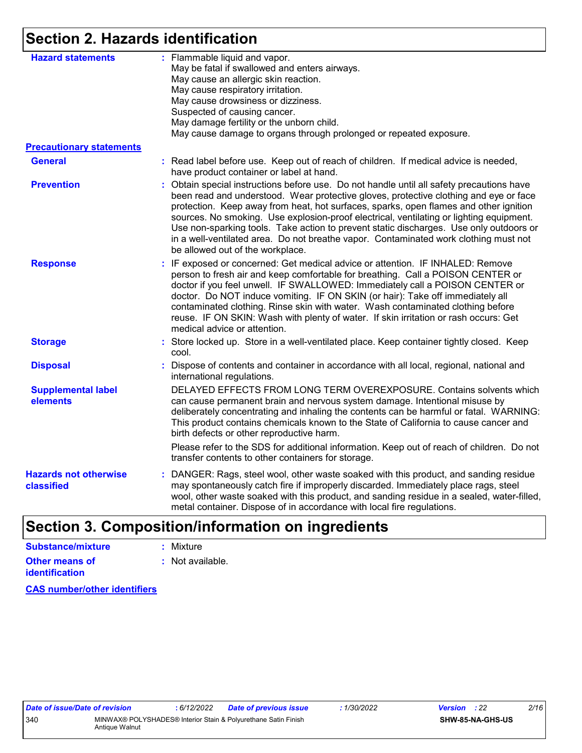## **Section 2. Hazards identification**

| <b>Hazard statements</b>                   | : Flammable liquid and vapor.<br>May be fatal if swallowed and enters airways.<br>May cause an allergic skin reaction.<br>May cause respiratory irritation.<br>May cause drowsiness or dizziness.<br>Suspected of causing cancer.<br>May damage fertility or the unborn child.<br>May cause damage to organs through prolonged or repeated exposure.                                                                                                                                                                                                                                         |
|--------------------------------------------|----------------------------------------------------------------------------------------------------------------------------------------------------------------------------------------------------------------------------------------------------------------------------------------------------------------------------------------------------------------------------------------------------------------------------------------------------------------------------------------------------------------------------------------------------------------------------------------------|
| <b>Precautionary statements</b>            |                                                                                                                                                                                                                                                                                                                                                                                                                                                                                                                                                                                              |
| <b>General</b>                             | : Read label before use. Keep out of reach of children. If medical advice is needed,<br>have product container or label at hand.                                                                                                                                                                                                                                                                                                                                                                                                                                                             |
| <b>Prevention</b>                          | : Obtain special instructions before use. Do not handle until all safety precautions have<br>been read and understood. Wear protective gloves, protective clothing and eye or face<br>protection. Keep away from heat, hot surfaces, sparks, open flames and other ignition<br>sources. No smoking. Use explosion-proof electrical, ventilating or lighting equipment.<br>Use non-sparking tools. Take action to prevent static discharges. Use only outdoors or<br>in a well-ventilated area. Do not breathe vapor. Contaminated work clothing must not<br>be allowed out of the workplace. |
| <b>Response</b>                            | : IF exposed or concerned: Get medical advice or attention. IF INHALED: Remove<br>person to fresh air and keep comfortable for breathing. Call a POISON CENTER or<br>doctor if you feel unwell. IF SWALLOWED: Immediately call a POISON CENTER or<br>doctor. Do NOT induce vomiting. IF ON SKIN (or hair): Take off immediately all<br>contaminated clothing. Rinse skin with water. Wash contaminated clothing before<br>reuse. IF ON SKIN: Wash with plenty of water. If skin irritation or rash occurs: Get<br>medical advice or attention.                                               |
| <b>Storage</b>                             | : Store locked up. Store in a well-ventilated place. Keep container tightly closed. Keep<br>cool.                                                                                                                                                                                                                                                                                                                                                                                                                                                                                            |
| <b>Disposal</b>                            | : Dispose of contents and container in accordance with all local, regional, national and<br>international regulations.                                                                                                                                                                                                                                                                                                                                                                                                                                                                       |
| <b>Supplemental label</b><br>elements      | DELAYED EFFECTS FROM LONG TERM OVEREXPOSURE. Contains solvents which<br>can cause permanent brain and nervous system damage. Intentional misuse by<br>deliberately concentrating and inhaling the contents can be harmful or fatal. WARNING:<br>This product contains chemicals known to the State of California to cause cancer and<br>birth defects or other reproductive harm.                                                                                                                                                                                                            |
|                                            | Please refer to the SDS for additional information. Keep out of reach of children. Do not<br>transfer contents to other containers for storage.                                                                                                                                                                                                                                                                                                                                                                                                                                              |
| <b>Hazards not otherwise</b><br>classified | : DANGER: Rags, steel wool, other waste soaked with this product, and sanding residue<br>may spontaneously catch fire if improperly discarded. Immediately place rags, steel<br>wool, other waste soaked with this product, and sanding residue in a sealed, water-filled,<br>metal container. Dispose of in accordance with local fire regulations.                                                                                                                                                                                                                                         |
|                                            |                                                                                                                                                                                                                                                                                                                                                                                                                                                                                                                                                                                              |

## **Section 3. Composition/information on ingredients**

| Substance/mixture     | : Mixture                   |
|-----------------------|-----------------------------|
| Other means of        | $\therefore$ Not available. |
| <i>identification</i> |                             |

**CAS number/other identifiers**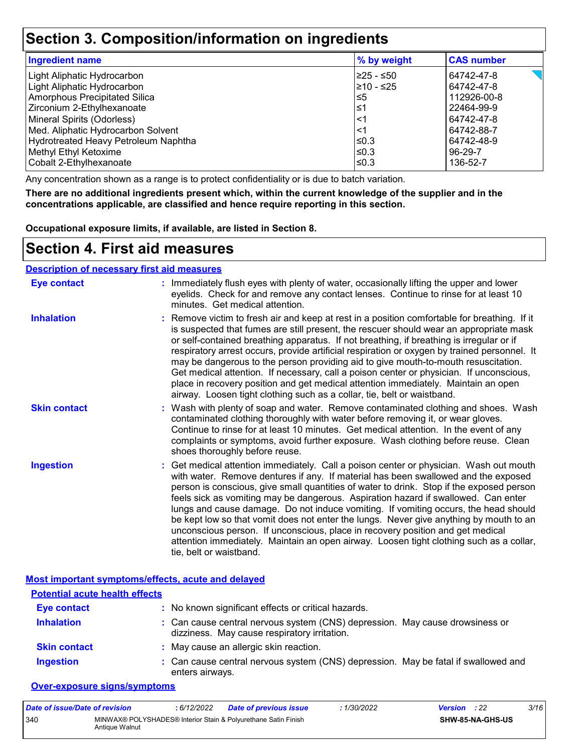### **Section 3. Composition/information on ingredients**

| <b>Ingredient name</b>               | % by weight | <b>CAS number</b> |
|--------------------------------------|-------------|-------------------|
| Light Aliphatic Hydrocarbon          | l≥25 - ≤50  | 64742-47-8        |
| Light Aliphatic Hydrocarbon          | 210 - ≤25   | 64742-47-8        |
| Amorphous Precipitated Silica        | l≤5         | 112926-00-8       |
| Zirconium 2-Ethylhexanoate           | ∣≤1         | 22464-99-9        |
| Mineral Spirits (Odorless)           | $\leq$ 1    | 64742-47-8        |
| Med. Aliphatic Hydrocarbon Solvent   | $\leq$ 1    | 64742-88-7        |
| Hydrotreated Heavy Petroleum Naphtha | $\leq 0.3$  | 64742-48-9        |
| Methyl Ethyl Ketoxime                | l≤0.3       | 96-29-7           |
| Cobalt 2-Ethylhexanoate              | l≤0.3       | 136-52-7          |

Any concentration shown as a range is to protect confidentiality or is due to batch variation.

**There are no additional ingredients present which, within the current knowledge of the supplier and in the concentrations applicable, are classified and hence require reporting in this section.**

**Occupational exposure limits, if available, are listed in Section 8.**

### **Section 4. First aid measures**

#### **Description of necessary first aid measures**

| <b>Eye contact</b>  | : Immediately flush eyes with plenty of water, occasionally lifting the upper and lower<br>eyelids. Check for and remove any contact lenses. Continue to rinse for at least 10<br>minutes. Get medical attention.                                                                                                                                                                                                                                                                                                                                                                                                                                                                                                                                       |
|---------------------|---------------------------------------------------------------------------------------------------------------------------------------------------------------------------------------------------------------------------------------------------------------------------------------------------------------------------------------------------------------------------------------------------------------------------------------------------------------------------------------------------------------------------------------------------------------------------------------------------------------------------------------------------------------------------------------------------------------------------------------------------------|
| <b>Inhalation</b>   | : Remove victim to fresh air and keep at rest in a position comfortable for breathing. If it<br>is suspected that fumes are still present, the rescuer should wear an appropriate mask<br>or self-contained breathing apparatus. If not breathing, if breathing is irregular or if<br>respiratory arrest occurs, provide artificial respiration or oxygen by trained personnel. It<br>may be dangerous to the person providing aid to give mouth-to-mouth resuscitation.<br>Get medical attention. If necessary, call a poison center or physician. If unconscious,<br>place in recovery position and get medical attention immediately. Maintain an open<br>airway. Loosen tight clothing such as a collar, tie, belt or waistband.                    |
| <b>Skin contact</b> | : Wash with plenty of soap and water. Remove contaminated clothing and shoes. Wash<br>contaminated clothing thoroughly with water before removing it, or wear gloves.<br>Continue to rinse for at least 10 minutes. Get medical attention. In the event of any<br>complaints or symptoms, avoid further exposure. Wash clothing before reuse. Clean<br>shoes thoroughly before reuse.                                                                                                                                                                                                                                                                                                                                                                   |
| <b>Ingestion</b>    | : Get medical attention immediately. Call a poison center or physician. Wash out mouth<br>with water. Remove dentures if any. If material has been swallowed and the exposed<br>person is conscious, give small quantities of water to drink. Stop if the exposed person<br>feels sick as vomiting may be dangerous. Aspiration hazard if swallowed. Can enter<br>lungs and cause damage. Do not induce vomiting. If vomiting occurs, the head should<br>be kept low so that vomit does not enter the lungs. Never give anything by mouth to an<br>unconscious person. If unconscious, place in recovery position and get medical<br>attention immediately. Maintain an open airway. Loosen tight clothing such as a collar,<br>tie, belt or waistband. |

#### **Most important symptoms/effects, acute and delayed**

| <b>Potential acute health effects</b> |                                                                                                                              |
|---------------------------------------|------------------------------------------------------------------------------------------------------------------------------|
| <b>Eye contact</b>                    | : No known significant effects or critical hazards.                                                                          |
| <b>Inhalation</b>                     | : Can cause central nervous system (CNS) depression. May cause drowsiness or<br>dizziness. May cause respiratory irritation. |
| <b>Skin contact</b>                   | : May cause an allergic skin reaction.                                                                                       |
| <b>Ingestion</b>                      | : Can cause central nervous system (CNS) depression. May be fatal if swallowed and<br>enters airways.                        |

#### **Over-exposure signs/symptoms**

| Date of issue/Date of revision |                | : 6/12/2022 | <b>Date of previous issue</b>                                  | : 1/30/2022 | <b>Version</b> : 22 |                         | 3/16 |
|--------------------------------|----------------|-------------|----------------------------------------------------------------|-------------|---------------------|-------------------------|------|
| 340                            | Antique Walnut |             | MINWAX® POLYSHADES® Interior Stain & Polyurethane Satin Finish |             |                     | <b>SHW-85-NA-GHS-US</b> |      |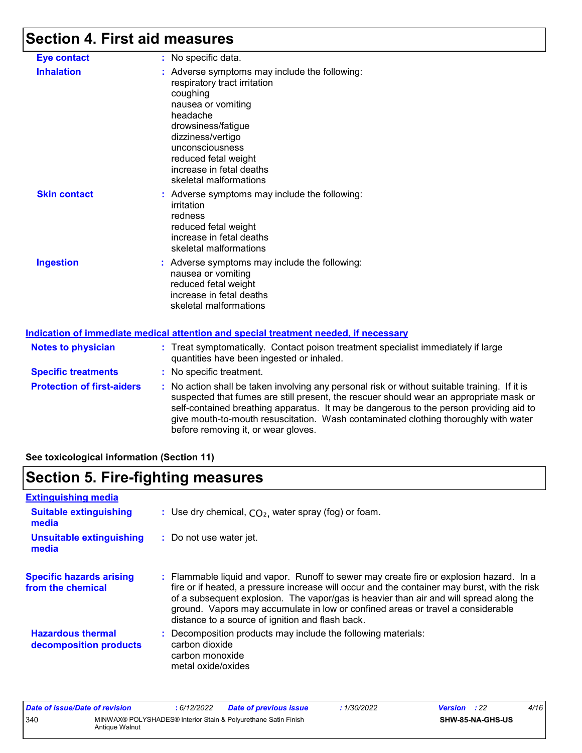## **Section 4. First aid measures**

| <b>Eye contact</b>                | : No specific data.                                                                                                                                                                                                                                                                                                                                                                                             |
|-----------------------------------|-----------------------------------------------------------------------------------------------------------------------------------------------------------------------------------------------------------------------------------------------------------------------------------------------------------------------------------------------------------------------------------------------------------------|
| <b>Inhalation</b>                 | : Adverse symptoms may include the following:<br>respiratory tract irritation<br>coughing<br>nausea or vomiting<br>headache<br>drowsiness/fatigue<br>dizziness/vertigo<br>unconsciousness<br>reduced fetal weight<br>increase in fetal deaths<br>skeletal malformations                                                                                                                                         |
| <b>Skin contact</b>               | : Adverse symptoms may include the following:<br>irritation<br>redness<br>reduced fetal weight<br>increase in fetal deaths<br>skeletal malformations                                                                                                                                                                                                                                                            |
| <b>Ingestion</b>                  | : Adverse symptoms may include the following:<br>nausea or vomiting<br>reduced fetal weight<br>increase in fetal deaths<br>skeletal malformations<br>Indication of immediate medical attention and special treatment needed, if necessary                                                                                                                                                                       |
| <b>Notes to physician</b>         | : Treat symptomatically. Contact poison treatment specialist immediately if large<br>quantities have been ingested or inhaled.                                                                                                                                                                                                                                                                                  |
| <b>Specific treatments</b>        | : No specific treatment.                                                                                                                                                                                                                                                                                                                                                                                        |
| <b>Protection of first-aiders</b> | : No action shall be taken involving any personal risk or without suitable training. If it is<br>suspected that fumes are still present, the rescuer should wear an appropriate mask or<br>self-contained breathing apparatus. It may be dangerous to the person providing aid to<br>give mouth-to-mouth resuscitation. Wash contaminated clothing thoroughly with water<br>before removing it, or wear gloves. |

**See toxicological information (Section 11)**

## **Section 5. Fire-fighting measures**

| <b>Extinguishing media</b>                           |                                                                                                                                                                                                                                                                                                                                                                                                                          |
|------------------------------------------------------|--------------------------------------------------------------------------------------------------------------------------------------------------------------------------------------------------------------------------------------------------------------------------------------------------------------------------------------------------------------------------------------------------------------------------|
| <b>Suitable extinguishing</b><br>media               | : Use dry chemical, $CO2$ , water spray (fog) or foam.                                                                                                                                                                                                                                                                                                                                                                   |
| Unsuitable extinguishing<br>media                    | : Do not use water jet.                                                                                                                                                                                                                                                                                                                                                                                                  |
| <b>Specific hazards arising</b><br>from the chemical | : Flammable liquid and vapor. Runoff to sewer may create fire or explosion hazard. In a<br>fire or if heated, a pressure increase will occur and the container may burst, with the risk<br>of a subsequent explosion. The vapor/gas is heavier than air and will spread along the<br>ground. Vapors may accumulate in low or confined areas or travel a considerable<br>distance to a source of ignition and flash back. |
| <b>Hazardous thermal</b><br>decomposition products   | : Decomposition products may include the following materials:<br>carbon dioxide<br>carbon monoxide<br>metal oxide/oxides                                                                                                                                                                                                                                                                                                 |

| Date of issue/Date of revision                                                          |  | : 6/12/2022 | <b>Date of previous issue</b> | : 1/30/2022 | <b>Version</b> : 22     |  | 4/16 |
|-----------------------------------------------------------------------------------------|--|-------------|-------------------------------|-------------|-------------------------|--|------|
| 340<br>MINWAX® POLYSHADES® Interior Stain & Polyurethane Satin Finish<br>Antique Walnut |  |             |                               |             | <b>SHW-85-NA-GHS-US</b> |  |      |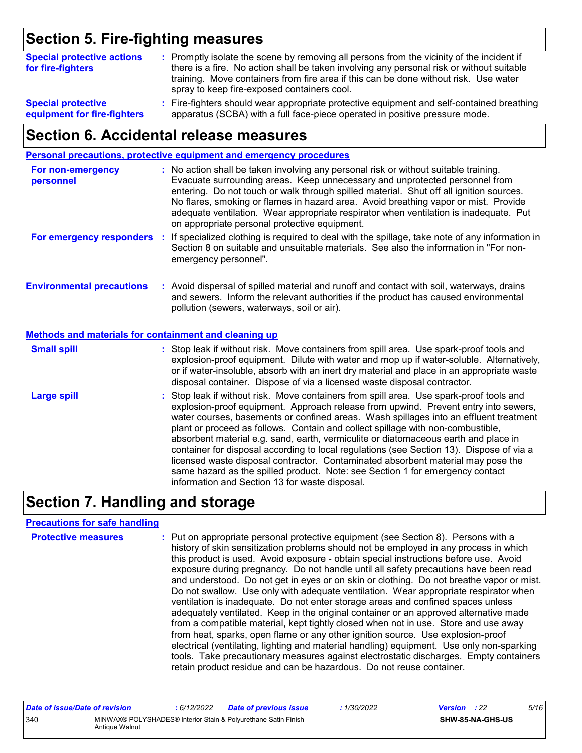## **Section 5. Fire-fighting measures**

| <b>Special protective actions</b><br>for fire-fighters | : Promptly isolate the scene by removing all persons from the vicinity of the incident if<br>there is a fire. No action shall be taken involving any personal risk or without suitable<br>training. Move containers from fire area if this can be done without risk. Use water<br>spray to keep fire-exposed containers cool. |
|--------------------------------------------------------|-------------------------------------------------------------------------------------------------------------------------------------------------------------------------------------------------------------------------------------------------------------------------------------------------------------------------------|
| <b>Special protective</b>                              | : Fire-fighters should wear appropriate protective equipment and self-contained breathing                                                                                                                                                                                                                                     |
| equipment for fire-fighters                            | apparatus (SCBA) with a full face-piece operated in positive pressure mode.                                                                                                                                                                                                                                                   |

### **Section 6. Accidental release measures**

|                                                       | Personal precautions, protective equipment and emergency procedures                                                                                                                                                                                                                                                                                                                                                                                                                                                                                                                                                                                                                                                                                                  |
|-------------------------------------------------------|----------------------------------------------------------------------------------------------------------------------------------------------------------------------------------------------------------------------------------------------------------------------------------------------------------------------------------------------------------------------------------------------------------------------------------------------------------------------------------------------------------------------------------------------------------------------------------------------------------------------------------------------------------------------------------------------------------------------------------------------------------------------|
| For non-emergency<br>personnel                        | : No action shall be taken involving any personal risk or without suitable training.<br>Evacuate surrounding areas. Keep unnecessary and unprotected personnel from<br>entering. Do not touch or walk through spilled material. Shut off all ignition sources.<br>No flares, smoking or flames in hazard area. Avoid breathing vapor or mist. Provide<br>adequate ventilation. Wear appropriate respirator when ventilation is inadequate. Put<br>on appropriate personal protective equipment.                                                                                                                                                                                                                                                                      |
| For emergency responders :                            | If specialized clothing is required to deal with the spillage, take note of any information in<br>Section 8 on suitable and unsuitable materials. See also the information in "For non-<br>emergency personnel".                                                                                                                                                                                                                                                                                                                                                                                                                                                                                                                                                     |
| <b>Environmental precautions</b>                      | : Avoid dispersal of spilled material and runoff and contact with soil, waterways, drains<br>and sewers. Inform the relevant authorities if the product has caused environmental<br>pollution (sewers, waterways, soil or air).                                                                                                                                                                                                                                                                                                                                                                                                                                                                                                                                      |
| Methods and materials for containment and cleaning up |                                                                                                                                                                                                                                                                                                                                                                                                                                                                                                                                                                                                                                                                                                                                                                      |
| <b>Small spill</b>                                    | : Stop leak if without risk. Move containers from spill area. Use spark-proof tools and<br>explosion-proof equipment. Dilute with water and mop up if water-soluble. Alternatively,<br>or if water-insoluble, absorb with an inert dry material and place in an appropriate waste<br>disposal container. Dispose of via a licensed waste disposal contractor.                                                                                                                                                                                                                                                                                                                                                                                                        |
| <b>Large spill</b>                                    | : Stop leak if without risk. Move containers from spill area. Use spark-proof tools and<br>explosion-proof equipment. Approach release from upwind. Prevent entry into sewers,<br>water courses, basements or confined areas. Wash spillages into an effluent treatment<br>plant or proceed as follows. Contain and collect spillage with non-combustible,<br>absorbent material e.g. sand, earth, vermiculite or diatomaceous earth and place in<br>container for disposal according to local regulations (see Section 13). Dispose of via a<br>licensed waste disposal contractor. Contaminated absorbent material may pose the<br>same hazard as the spilled product. Note: see Section 1 for emergency contact<br>information and Section 13 for waste disposal. |

## **Section 7. Handling and storage**

#### **Precautions for safe handling**

| <b>Protective measures</b> | : Put on appropriate personal protective equipment (see Section 8). Persons with a<br>history of skin sensitization problems should not be employed in any process in which<br>this product is used. Avoid exposure - obtain special instructions before use. Avoid<br>exposure during pregnancy. Do not handle until all safety precautions have been read<br>and understood. Do not get in eyes or on skin or clothing. Do not breathe vapor or mist.<br>Do not swallow. Use only with adequate ventilation. Wear appropriate respirator when<br>ventilation is inadequate. Do not enter storage areas and confined spaces unless<br>adequately ventilated. Keep in the original container or an approved alternative made<br>from a compatible material, kept tightly closed when not in use. Store and use away<br>from heat, sparks, open flame or any other ignition source. Use explosion-proof<br>electrical (ventilating, lighting and material handling) equipment. Use only non-sparking<br>tools. Take precautionary measures against electrostatic discharges. Empty containers |
|----------------------------|----------------------------------------------------------------------------------------------------------------------------------------------------------------------------------------------------------------------------------------------------------------------------------------------------------------------------------------------------------------------------------------------------------------------------------------------------------------------------------------------------------------------------------------------------------------------------------------------------------------------------------------------------------------------------------------------------------------------------------------------------------------------------------------------------------------------------------------------------------------------------------------------------------------------------------------------------------------------------------------------------------------------------------------------------------------------------------------------|
|                            | retain product residue and can be hazardous. Do not reuse container.                                                                                                                                                                                                                                                                                                                                                                                                                                                                                                                                                                                                                                                                                                                                                                                                                                                                                                                                                                                                                         |

| Date of issue/Date of revision |                | : 6/12/2022 | <b>Date of previous issue</b>                                  | : 1/30/2022 | <b>Version</b> : 22 |                         | 5/16 |
|--------------------------------|----------------|-------------|----------------------------------------------------------------|-------------|---------------------|-------------------------|------|
| 340                            | Antique Walnut |             | MINWAX® POLYSHADES® Interior Stain & Polyurethane Satin Finish |             |                     | <b>SHW-85-NA-GHS-US</b> |      |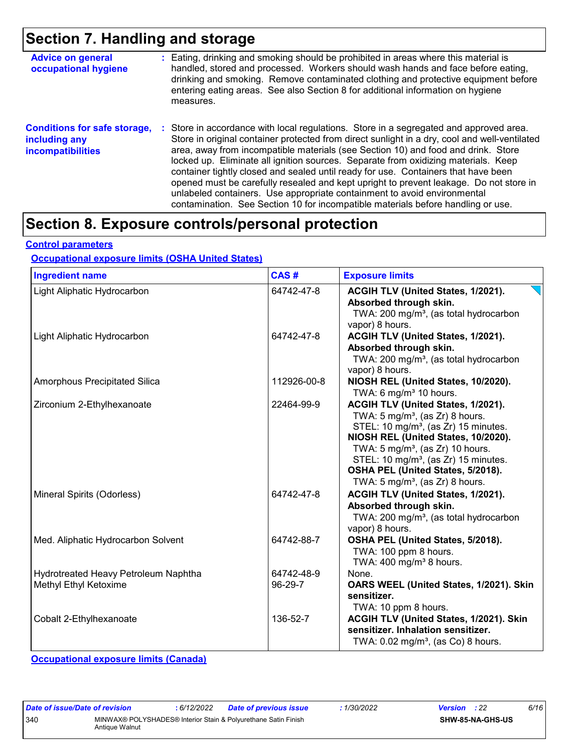### **Section 7. Handling and storage**

| <b>Advice on general</b><br>occupational hygiene                                 | : Eating, drinking and smoking should be prohibited in areas where this material is<br>handled, stored and processed. Workers should wash hands and face before eating,<br>drinking and smoking. Remove contaminated clothing and protective equipment before<br>entering eating areas. See also Section 8 for additional information on hygiene<br>measures.                                                                                                                                                                                                                                                                                                                                                      |
|----------------------------------------------------------------------------------|--------------------------------------------------------------------------------------------------------------------------------------------------------------------------------------------------------------------------------------------------------------------------------------------------------------------------------------------------------------------------------------------------------------------------------------------------------------------------------------------------------------------------------------------------------------------------------------------------------------------------------------------------------------------------------------------------------------------|
| <b>Conditions for safe storage,</b><br>including any<br><b>incompatibilities</b> | : Store in accordance with local regulations. Store in a segregated and approved area.<br>Store in original container protected from direct sunlight in a dry, cool and well-ventilated<br>area, away from incompatible materials (see Section 10) and food and drink. Store<br>locked up. Eliminate all ignition sources. Separate from oxidizing materials. Keep<br>container tightly closed and sealed until ready for use. Containers that have been<br>opened must be carefully resealed and kept upright to prevent leakage. Do not store in<br>unlabeled containers. Use appropriate containment to avoid environmental<br>contamination. See Section 10 for incompatible materials before handling or use. |

## **Section 8. Exposure controls/personal protection**

#### **Control parameters**

#### **Occupational exposure limits (OSHA United States)**

| <b>Ingredient name</b>                                        | CAS#                  | <b>Exposure limits</b>                                                                                                                                                                                                                                                                                                                                            |
|---------------------------------------------------------------|-----------------------|-------------------------------------------------------------------------------------------------------------------------------------------------------------------------------------------------------------------------------------------------------------------------------------------------------------------------------------------------------------------|
| Light Aliphatic Hydrocarbon                                   | 64742-47-8            | ACGIH TLV (United States, 1/2021).<br>Absorbed through skin.<br>TWA: 200 mg/m <sup>3</sup> , (as total hydrocarbon<br>vapor) 8 hours.                                                                                                                                                                                                                             |
| Light Aliphatic Hydrocarbon                                   | 64742-47-8            | ACGIH TLV (United States, 1/2021).<br>Absorbed through skin.<br>TWA: 200 mg/m <sup>3</sup> , (as total hydrocarbon<br>vapor) 8 hours.                                                                                                                                                                                                                             |
| Amorphous Precipitated Silica                                 | 112926-00-8           | NIOSH REL (United States, 10/2020).<br>TWA: 6 mg/m <sup>3</sup> 10 hours.                                                                                                                                                                                                                                                                                         |
| Zirconium 2-Ethylhexanoate                                    | 22464-99-9            | ACGIH TLV (United States, 1/2021).<br>TWA: $5 \text{ mg/m}^3$ , (as Zr) 8 hours.<br>STEL: 10 mg/m <sup>3</sup> , (as Zr) 15 minutes.<br>NIOSH REL (United States, 10/2020).<br>TWA: $5 \text{ mg/m}^3$ , (as Zr) 10 hours.<br>STEL: 10 mg/m <sup>3</sup> , (as Zr) 15 minutes.<br>OSHA PEL (United States, 5/2018).<br>TWA: $5 \text{ mg/m}^3$ , (as Zr) 8 hours. |
| Mineral Spirits (Odorless)                                    | 64742-47-8            | ACGIH TLV (United States, 1/2021).<br>Absorbed through skin.<br>TWA: 200 mg/m <sup>3</sup> , (as total hydrocarbon<br>vapor) 8 hours.                                                                                                                                                                                                                             |
| Med. Aliphatic Hydrocarbon Solvent                            | 64742-88-7            | OSHA PEL (United States, 5/2018).<br>TWA: 100 ppm 8 hours.<br>TWA: $400 \text{ mg/m}^3$ 8 hours.                                                                                                                                                                                                                                                                  |
| Hydrotreated Heavy Petroleum Naphtha<br>Methyl Ethyl Ketoxime | 64742-48-9<br>96-29-7 | None.<br>OARS WEEL (United States, 1/2021). Skin<br>sensitizer.<br>TWA: 10 ppm 8 hours.                                                                                                                                                                                                                                                                           |
| Cobalt 2-Ethylhexanoate                                       | 136-52-7              | ACGIH TLV (United States, 1/2021). Skin<br>sensitizer. Inhalation sensitizer.<br>TWA: 0.02 mg/m <sup>3</sup> , (as Co) 8 hours.                                                                                                                                                                                                                                   |

**Occupational exposure limits (Canada)**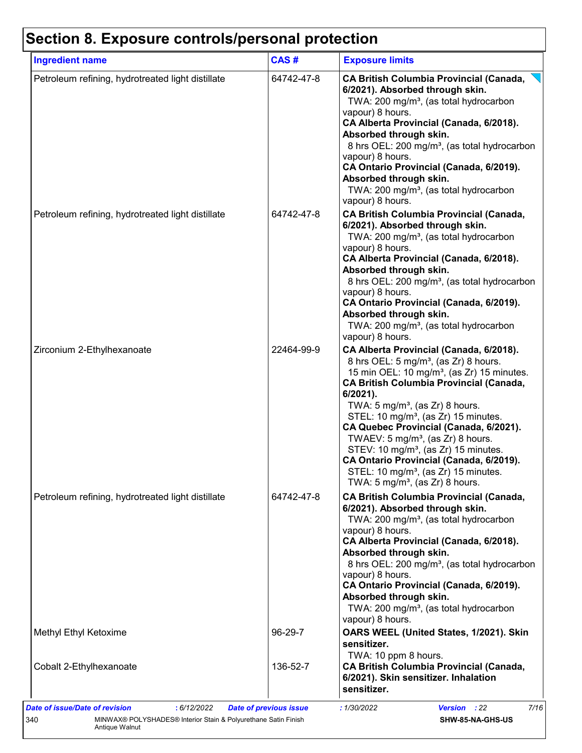## **Section 8. Exposure controls/personal protection**

| <b>Ingredient name</b>                            | CAS#    |                         | <b>Exposure limits</b>                                                                                                                                                                                                                                                                                                                                                                                                                                                                                                                                                                                 |
|---------------------------------------------------|---------|-------------------------|--------------------------------------------------------------------------------------------------------------------------------------------------------------------------------------------------------------------------------------------------------------------------------------------------------------------------------------------------------------------------------------------------------------------------------------------------------------------------------------------------------------------------------------------------------------------------------------------------------|
| Petroleum refining, hydrotreated light distillate |         | 64742-47-8              | <b>CA British Columbia Provincial (Canada,</b><br>6/2021). Absorbed through skin.<br>TWA: 200 mg/m <sup>3</sup> , (as total hydrocarbon<br>vapour) 8 hours.<br>CA Alberta Provincial (Canada, 6/2018).<br>Absorbed through skin.<br>8 hrs OEL: 200 mg/m <sup>3</sup> , (as total hydrocarbon<br>vapour) 8 hours.<br>CA Ontario Provincial (Canada, 6/2019).<br>Absorbed through skin.<br>TWA: 200 mg/m <sup>3</sup> , (as total hydrocarbon<br>vapour) 8 hours.                                                                                                                                        |
| Petroleum refining, hydrotreated light distillate |         | 64742-47-8              | <b>CA British Columbia Provincial (Canada,</b><br>6/2021). Absorbed through skin.<br>TWA: 200 mg/m <sup>3</sup> , (as total hydrocarbon<br>vapour) 8 hours.<br>CA Alberta Provincial (Canada, 6/2018).<br>Absorbed through skin.<br>8 hrs OEL: 200 mg/m <sup>3</sup> , (as total hydrocarbon<br>vapour) 8 hours.<br>CA Ontario Provincial (Canada, 6/2019).<br>Absorbed through skin.<br>TWA: 200 mg/m <sup>3</sup> , (as total hydrocarbon<br>vapour) 8 hours.                                                                                                                                        |
| Zirconium 2-Ethylhexanoate                        |         | 22464-99-9<br>6/2021).  | CA Alberta Provincial (Canada, 6/2018).<br>8 hrs OEL: 5 mg/m <sup>3</sup> , (as Zr) 8 hours.<br>15 min OEL: 10 mg/m <sup>3</sup> , (as Zr) 15 minutes.<br><b>CA British Columbia Provincial (Canada,</b><br>TWA: $5 \text{ mg/m}^3$ , (as Zr) 8 hours.<br>STEL: 10 mg/m <sup>3</sup> , (as Zr) 15 minutes.<br>CA Quebec Provincial (Canada, 6/2021).<br>TWAEV: 5 mg/m <sup>3</sup> , (as Zr) 8 hours.<br>STEV: 10 mg/m <sup>3</sup> , (as Zr) 15 minutes.<br>CA Ontario Provincial (Canada, 6/2019).<br>STEL: 10 mg/m <sup>3</sup> , (as Zr) 15 minutes.<br>TWA: $5 \text{ mg/m}^3$ , (as Zr) 8 hours. |
| Petroleum refining, hydrotreated light distillate |         | 64742-47-8              | <b>CA British Columbia Provincial (Canada,</b><br>6/2021). Absorbed through skin.<br>TWA: 200 mg/m <sup>3</sup> , (as total hydrocarbon<br>vapour) 8 hours.<br>CA Alberta Provincial (Canada, 6/2018).<br>Absorbed through skin.<br>8 hrs OEL: 200 mg/m <sup>3</sup> , (as total hydrocarbon<br>vapour) 8 hours.<br>CA Ontario Provincial (Canada, 6/2019).<br>Absorbed through skin.<br>TWA: 200 mg/m <sup>3</sup> , (as total hydrocarbon<br>vapour) 8 hours.                                                                                                                                        |
| Methyl Ethyl Ketoxime                             | 96-29-7 | sensitizer.             | OARS WEEL (United States, 1/2021). Skin<br>TWA: 10 ppm 8 hours.                                                                                                                                                                                                                                                                                                                                                                                                                                                                                                                                        |
| Cobalt 2-Ethylhexanoate                           |         | 136-52-7<br>sensitizer. | <b>CA British Columbia Provincial (Canada,</b><br>6/2021). Skin sensitizer. Inhalation                                                                                                                                                                                                                                                                                                                                                                                                                                                                                                                 |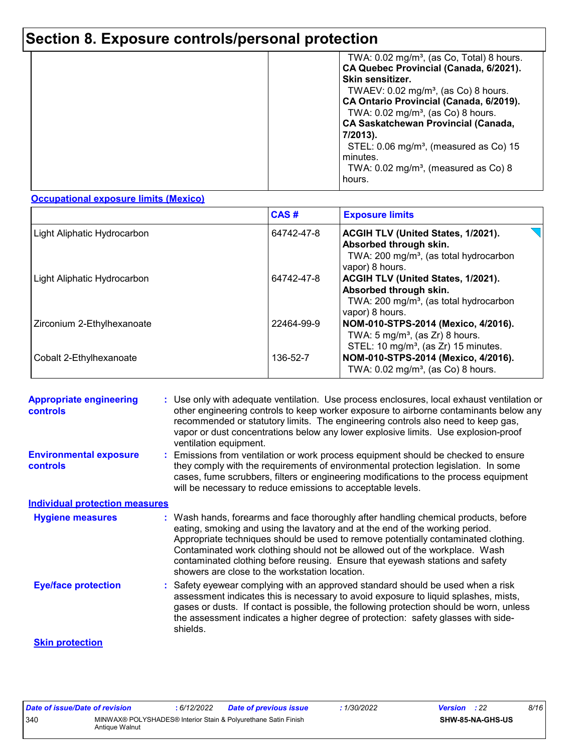## **Section 8. Exposure controls/personal protection**

|  | TWA: $0.02 \text{ mg/m}^3$ , (as Co, Total) 8 hours.<br>CA Quebec Provincial (Canada, 6/2021).<br>Skin sensitizer.<br>TWAEV: $0.02 \text{ mg/m}^3$ , (as Co) 8 hours.<br>CA Ontario Provincial (Canada, 6/2019).<br>TWA: 0.02 mg/m <sup>3</sup> , (as Co) 8 hours.<br><b>CA Saskatchewan Provincial (Canada,</b><br>7/2013).<br>STEL: $0.06 \text{ mg/m}^3$ , (measured as Co) 15<br>minutes.<br>TWA: $0.02 \text{ mg/m}^3$ , (measured as Co) 8<br>hours. |
|--|------------------------------------------------------------------------------------------------------------------------------------------------------------------------------------------------------------------------------------------------------------------------------------------------------------------------------------------------------------------------------------------------------------------------------------------------------------|
|--|------------------------------------------------------------------------------------------------------------------------------------------------------------------------------------------------------------------------------------------------------------------------------------------------------------------------------------------------------------------------------------------------------------------------------------------------------------|

#### **Occupational exposure limits (Mexico)**

|                             | CAS#       | <b>Exposure limits</b>                                                                                                                |
|-----------------------------|------------|---------------------------------------------------------------------------------------------------------------------------------------|
| Light Aliphatic Hydrocarbon | 64742-47-8 | ACGIH TLV (United States, 1/2021).<br>Absorbed through skin.<br>TWA: 200 mg/m <sup>3</sup> , (as total hydrocarbon<br>vapor) 8 hours. |
| Light Aliphatic Hydrocarbon | 64742-47-8 | ACGIH TLV (United States, 1/2021).<br>Absorbed through skin.<br>TWA: $200 \text{ mg/m}^3$ , (as total hydrocarbon<br>vapor) 8 hours.  |
| Zirconium 2-Ethylhexanoate  | 22464-99-9 | NOM-010-STPS-2014 (Mexico, 4/2016).<br>TWA: $5 \text{ mg/m}^3$ , (as Zr) 8 hours.<br>STEL: 10 mg/m <sup>3</sup> , (as Zr) 15 minutes. |
| Cobalt 2-Ethylhexanoate     | 136-52-7   | NOM-010-STPS-2014 (Mexico, 4/2016).<br>TWA: $0.02 \text{ mg/m}^3$ , (as Co) 8 hours.                                                  |

| <b>Appropriate engineering</b><br><b>controls</b> | : Use only with adequate ventilation. Use process enclosures, local exhaust ventilation or<br>other engineering controls to keep worker exposure to airborne contaminants below any<br>recommended or statutory limits. The engineering controls also need to keep gas,<br>vapor or dust concentrations below any lower explosive limits. Use explosion-proof<br>ventilation equipment.                                                                                     |
|---------------------------------------------------|-----------------------------------------------------------------------------------------------------------------------------------------------------------------------------------------------------------------------------------------------------------------------------------------------------------------------------------------------------------------------------------------------------------------------------------------------------------------------------|
| <b>Environmental exposure</b><br><b>controls</b>  | Emissions from ventilation or work process equipment should be checked to ensure<br>they comply with the requirements of environmental protection legislation. In some<br>cases, fume scrubbers, filters or engineering modifications to the process equipment<br>will be necessary to reduce emissions to acceptable levels.                                                                                                                                               |
| <b>Individual protection measures</b>             |                                                                                                                                                                                                                                                                                                                                                                                                                                                                             |
| <b>Hygiene measures</b>                           | : Wash hands, forearms and face thoroughly after handling chemical products, before<br>eating, smoking and using the lavatory and at the end of the working period.<br>Appropriate techniques should be used to remove potentially contaminated clothing.<br>Contaminated work clothing should not be allowed out of the workplace. Wash<br>contaminated clothing before reusing. Ensure that eyewash stations and safety<br>showers are close to the workstation location. |
| <b>Eye/face protection</b>                        | : Safety eyewear complying with an approved standard should be used when a risk<br>assessment indicates this is necessary to avoid exposure to liquid splashes, mists,<br>gases or dusts. If contact is possible, the following protection should be worn, unless<br>the assessment indicates a higher degree of protection: safety glasses with side-<br>shields.                                                                                                          |
| <b>Skin protection</b>                            |                                                                                                                                                                                                                                                                                                                                                                                                                                                                             |

| Date of issue/Date of revision |                | : 6/12/2022 | <b>Date of previous issue</b>                                  | 1/30/2022 | <b>Version</b> : 22 |                  | 8/16 |
|--------------------------------|----------------|-------------|----------------------------------------------------------------|-----------|---------------------|------------------|------|
| 340                            | Antique Walnut |             | MINWAX® POLYSHADES® Interior Stain & Polyurethane Satin Finish |           |                     | SHW-85-NA-GHS-US |      |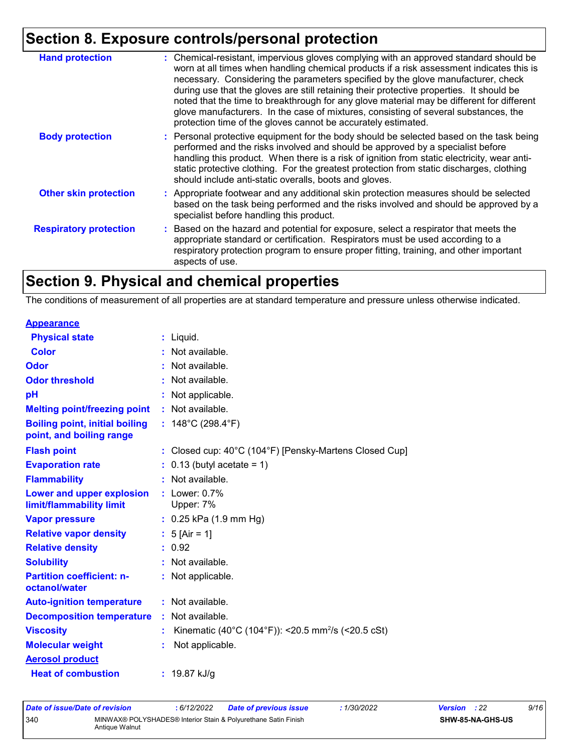## **Section 8. Exposure controls/personal protection**

| <b>Hand protection</b>        | : Chemical-resistant, impervious gloves complying with an approved standard should be<br>worn at all times when handling chemical products if a risk assessment indicates this is<br>necessary. Considering the parameters specified by the glove manufacturer, check<br>during use that the gloves are still retaining their protective properties. It should be<br>noted that the time to breakthrough for any glove material may be different for different<br>glove manufacturers. In the case of mixtures, consisting of several substances, the<br>protection time of the gloves cannot be accurately estimated. |
|-------------------------------|------------------------------------------------------------------------------------------------------------------------------------------------------------------------------------------------------------------------------------------------------------------------------------------------------------------------------------------------------------------------------------------------------------------------------------------------------------------------------------------------------------------------------------------------------------------------------------------------------------------------|
| <b>Body protection</b>        | : Personal protective equipment for the body should be selected based on the task being<br>performed and the risks involved and should be approved by a specialist before<br>handling this product. When there is a risk of ignition from static electricity, wear anti-<br>static protective clothing. For the greatest protection from static discharges, clothing<br>should include anti-static overalls, boots and gloves.                                                                                                                                                                                         |
| <b>Other skin protection</b>  | : Appropriate footwear and any additional skin protection measures should be selected<br>based on the task being performed and the risks involved and should be approved by a<br>specialist before handling this product.                                                                                                                                                                                                                                                                                                                                                                                              |
| <b>Respiratory protection</b> | : Based on the hazard and potential for exposure, select a respirator that meets the<br>appropriate standard or certification. Respirators must be used according to a<br>respiratory protection program to ensure proper fitting, training, and other important<br>aspects of use.                                                                                                                                                                                                                                                                                                                                    |

## **Section 9. Physical and chemical properties**

The conditions of measurement of all properties are at standard temperature and pressure unless otherwise indicated.

| <b>Appearance</b>                                                 |                                                                |
|-------------------------------------------------------------------|----------------------------------------------------------------|
| <b>Physical state</b>                                             | $:$ Liquid.                                                    |
| <b>Color</b>                                                      | : Not available.                                               |
| Odor                                                              | : Not available.                                               |
| <b>Odor threshold</b>                                             | : Not available.                                               |
| pH                                                                | Not applicable.                                                |
| <b>Melting point/freezing point</b>                               | : Not available.                                               |
| <b>Boiling point, initial boiling</b><br>point, and boiling range | : $148^{\circ}$ C (298.4 $^{\circ}$ F)                         |
| <b>Flash point</b>                                                | : Closed cup: 40°C (104°F) [Pensky-Martens Closed Cup]         |
| <b>Evaporation rate</b>                                           | $: 0.13$ (butyl acetate = 1)                                   |
| <b>Flammability</b>                                               | : Not available.                                               |
| Lower and upper explosion<br>limit/flammability limit             | : Lower: 0.7%<br>Upper: 7%                                     |
| <b>Vapor pressure</b>                                             | $: 0.25$ kPa (1.9 mm Hg)                                       |
| <b>Relative vapor density</b>                                     | : $5$ [Air = 1]                                                |
| <b>Relative density</b>                                           | : 0.92                                                         |
| <b>Solubility</b>                                                 | : Not available.                                               |
| <b>Partition coefficient: n-</b><br>octanol/water                 | : Not applicable.                                              |
| <b>Auto-ignition temperature</b>                                  | : Not available.                                               |
| <b>Decomposition temperature</b>                                  | : Not available.                                               |
| <b>Viscosity</b>                                                  | Kinematic (40°C (104°F)): <20.5 mm <sup>2</sup> /s (<20.5 cSt) |
| <b>Molecular weight</b>                                           | Not applicable.                                                |
| <b>Aerosol product</b>                                            |                                                                |
| <b>Heat of combustion</b>                                         | : $19.87$ kJ/g                                                 |

| Date of issue/Date of revision |                | : 6/12/2022 | <b>Date of previous issue</b>                                  | : 1/30/2022 | <b>Version</b> : 22 |                  | 9/16 |
|--------------------------------|----------------|-------------|----------------------------------------------------------------|-------------|---------------------|------------------|------|
| 340                            | Antique Walnut |             | MINWAX® POLYSHADES® Interior Stain & Polvurethane Satin Finish |             |                     | SHW-85-NA-GHS-US |      |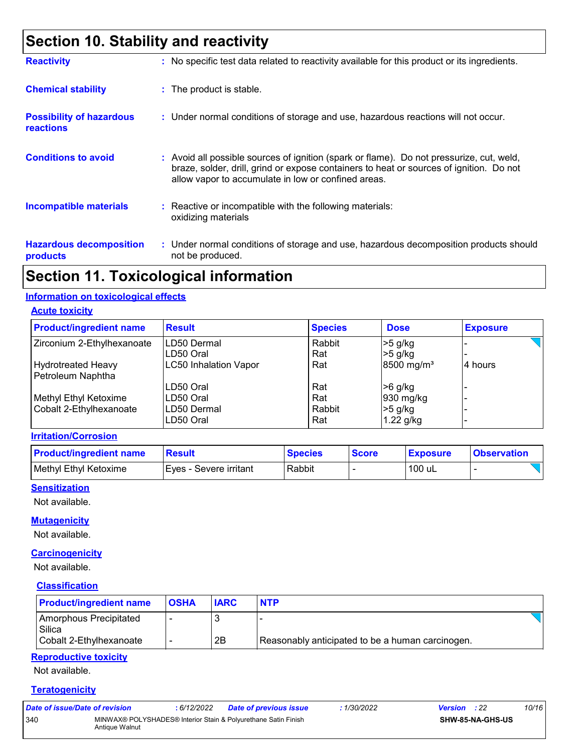## **Section 10. Stability and reactivity**

| <b>Reactivity</b>                                   | : No specific test data related to reactivity available for this product or its ingredients.                                                                                                                                             |
|-----------------------------------------------------|------------------------------------------------------------------------------------------------------------------------------------------------------------------------------------------------------------------------------------------|
| <b>Chemical stability</b>                           | : The product is stable.                                                                                                                                                                                                                 |
| <b>Possibility of hazardous</b><br><b>reactions</b> | : Under normal conditions of storage and use, hazardous reactions will not occur.                                                                                                                                                        |
| <b>Conditions to avoid</b>                          | Avoid all possible sources of ignition (spark or flame). Do not pressurize, cut, weld,<br>braze, solder, drill, grind or expose containers to heat or sources of ignition. Do not<br>allow vapor to accumulate in low or confined areas. |
| <b>Incompatible materials</b>                       | $\therefore$ Reactive or incompatible with the following materials:<br>oxidizing materials                                                                                                                                               |
| <b>Hazardous decomposition</b><br>products          | : Under normal conditions of storage and use, hazardous decomposition products should<br>not be produced.                                                                                                                                |

### **Section 11. Toxicological information**

#### **Information on toxicological effects**

**Acute toxicity**

| <b>Product/ingredient name</b> | <b>Result</b>                | <b>Species</b> | <b>Dose</b>            | <b>Exposure</b> |
|--------------------------------|------------------------------|----------------|------------------------|-----------------|
| Zirconium 2-Ethylhexanoate     | LD50 Dermal                  | Rabbit         | $>5$ g/kg              |                 |
|                                | LD50 Oral                    | Rat            | $>5$ g/kg              |                 |
| <b>Hydrotreated Heavy</b>      | <b>LC50 Inhalation Vapor</b> | Rat            | 8500 mg/m <sup>3</sup> | 4 hours         |
| Petroleum Naphtha              |                              |                |                        |                 |
|                                | LD50 Oral                    | Rat            | $>6$ g/kg              |                 |
| Methyl Ethyl Ketoxime          | LD50 Oral                    | Rat            | 930 mg/kg              |                 |
| Cobalt 2-Ethylhexanoate        | LD50 Dermal                  | Rabbit         | $>5$ g/kg              |                 |
|                                | LD50 Oral                    | Rat            | $1.22$ g/kg            |                 |

#### **Irritation/Corrosion**

| <b>Product/ingredient name</b> | <u> Result</u>           | <b>Species</b> | <b>Score</b> | <b>Exposure</b> | <b>Observation</b> |
|--------------------------------|--------------------------|----------------|--------------|-----------------|--------------------|
| Methyl Ethyl Ketoxime          | I Eves - Severe irritant | Rabbit         |              | 100 uL          |                    |

#### **Sensitization**

Not available.

#### **Mutagenicity**

Not available.

#### **Carcinogenicity**

Not available.

#### **Classification**

| <b>Product/ingredient name</b>   | <b>OSHA</b> | <b>IARC</b> | <b>NTP</b>                                       |
|----------------------------------|-------------|-------------|--------------------------------------------------|
| Amorphous Precipitated<br>Silica |             |             |                                                  |
| Cobalt 2-Ethylhexanoate          |             | 2B          | Reasonably anticipated to be a human carcinogen. |

#### **Reproductive toxicity**

Not available.

#### **Teratogenicity**

| Date of issue/Date of revision |                | : 6/12/2022 | Date of previous issue                                         | : 1/30/2022 | <b>Version</b> : 22 |                         | 10/16 |
|--------------------------------|----------------|-------------|----------------------------------------------------------------|-------------|---------------------|-------------------------|-------|
| 340                            | Antique Walnut |             | MINWAX® POLYSHADES® Interior Stain & Polyurethane Satin Finish |             |                     | <b>SHW-85-NA-GHS-US</b> |       |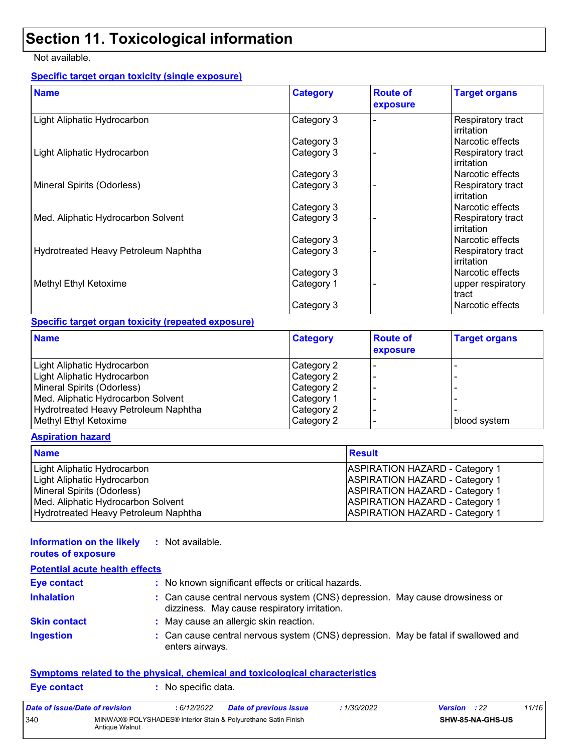## **Section 11. Toxicological information**

#### Not available.

#### **Specific target organ toxicity (single exposure)**

| <b>Name</b>                          | <b>Category</b> | <b>Route of</b><br>exposure | <b>Target organs</b>            |
|--------------------------------------|-----------------|-----------------------------|---------------------------------|
| Light Aliphatic Hydrocarbon          | Category 3      |                             | Respiratory tract<br>irritation |
|                                      | Category 3      |                             | Narcotic effects                |
| Light Aliphatic Hydrocarbon          | Category 3      |                             | Respiratory tract<br>irritation |
|                                      | Category 3      |                             | Narcotic effects                |
| Mineral Spirits (Odorless)           | Category 3      |                             | Respiratory tract<br>irritation |
|                                      | Category 3      |                             | Narcotic effects                |
| Med. Aliphatic Hydrocarbon Solvent   | Category 3      |                             | Respiratory tract<br>irritation |
|                                      | Category 3      |                             | Narcotic effects                |
| Hydrotreated Heavy Petroleum Naphtha | Category 3      |                             | Respiratory tract<br>irritation |
|                                      | Category 3      |                             | Narcotic effects                |
| Methyl Ethyl Ketoxime                | Category 1      |                             | upper respiratory<br>tract      |
|                                      | Category 3      |                             | Narcotic effects                |

#### **Specific target organ toxicity (repeated exposure)**

| <b>Name</b>                          | <b>Category</b> | <b>Route of</b><br>exposure | <b>Target organs</b> |
|--------------------------------------|-----------------|-----------------------------|----------------------|
| Light Aliphatic Hydrocarbon          | Category 2      |                             |                      |
| Light Aliphatic Hydrocarbon          | Category 2      |                             |                      |
| Mineral Spirits (Odorless)           | Category 2      |                             |                      |
| Med. Aliphatic Hydrocarbon Solvent   | Category 1      |                             |                      |
| Hydrotreated Heavy Petroleum Naphtha | Category 2      |                             |                      |
| Methyl Ethyl Ketoxime                | Category 2      |                             | blood system         |

#### **Aspiration hazard**

| <b>Name</b>                          | <b>Result</b>                         |
|--------------------------------------|---------------------------------------|
| Light Aliphatic Hydrocarbon          | ASPIRATION HAZARD - Category 1        |
| Light Aliphatic Hydrocarbon          | <b>ASPIRATION HAZARD - Category 1</b> |
| Mineral Spirits (Odorless)           | <b>ASPIRATION HAZARD - Category 1</b> |
| Med. Aliphatic Hydrocarbon Solvent   | <b>ASPIRATION HAZARD - Category 1</b> |
| Hydrotreated Heavy Petroleum Naphtha | <b>ASPIRATION HAZARD - Category 1</b> |

| Information on the likely<br>routes of exposure | : Not available.                                                                                                             |
|-------------------------------------------------|------------------------------------------------------------------------------------------------------------------------------|
| <b>Potential acute health effects</b>           |                                                                                                                              |
| <b>Eye contact</b>                              | : No known significant effects or critical hazards.                                                                          |
| <b>Inhalation</b>                               | : Can cause central nervous system (CNS) depression. May cause drowsiness or<br>dizziness. May cause respiratory irritation. |
| <b>Skin contact</b>                             | : May cause an allergic skin reaction.                                                                                       |
| <b>Ingestion</b>                                | : Can cause central nervous system (CNS) depression. May be fatal if swallowed and<br>enters airways.                        |

#### **Symptoms related to the physical, chemical and toxicological characteristics**

| <b>Eye contact</b> | $\therefore$ No specific data. |
|--------------------|--------------------------------|
|--------------------|--------------------------------|

| Date of issue/Date of revision |                | : 6/12/2022 | Date of previous issue                                         | .1/30/2022 | <b>Version</b> : 22 |                  | 11/16 |
|--------------------------------|----------------|-------------|----------------------------------------------------------------|------------|---------------------|------------------|-------|
| 340                            | Antique Walnut |             | MINWAX® POLYSHADES® Interior Stain & Polyurethane Satin Finish |            |                     | SHW-85-NA-GHS-US |       |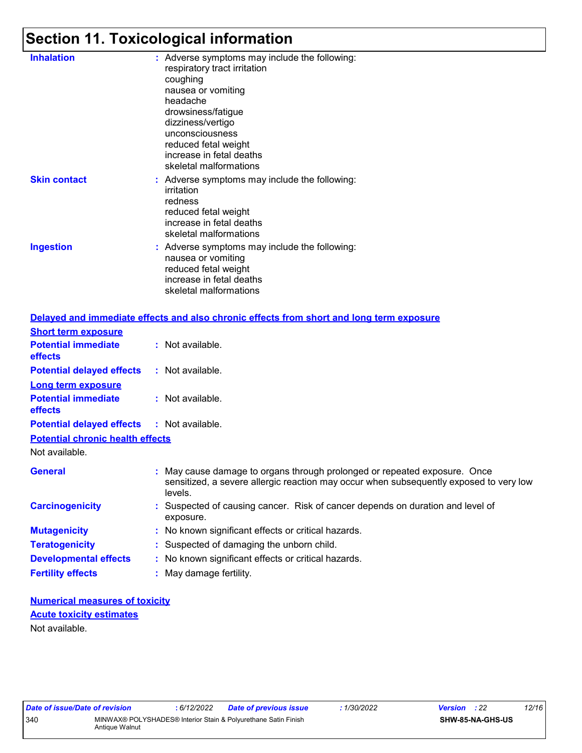## **Section 11. Toxicological information**

| <b>Inhalation</b>   | : Adverse symptoms may include the following:<br>respiratory tract irritation<br>coughing<br>nausea or vomiting<br>headache<br>drowsiness/fatigue<br>dizziness/vertigo<br>unconsciousness<br>reduced fetal weight<br>increase in fetal deaths<br>skeletal malformations |
|---------------------|-------------------------------------------------------------------------------------------------------------------------------------------------------------------------------------------------------------------------------------------------------------------------|
| <b>Skin contact</b> | : Adverse symptoms may include the following:<br>irritation<br>redness<br>reduced fetal weight<br>increase in fetal deaths<br>skeletal malformations                                                                                                                    |
| <b>Ingestion</b>    | : Adverse symptoms may include the following:<br>nausea or vomiting<br>reduced fetal weight<br>increase in fetal deaths<br>skeletal malformations                                                                                                                       |
|                     | Post beste de central de constante de la constante de la constante de la Constantinación de la constantinación                                                                                                                                                          |

|                                              | Delayed and immediate effects and also chronic effects from short and long term exposure                                                                                       |
|----------------------------------------------|--------------------------------------------------------------------------------------------------------------------------------------------------------------------------------|
| <b>Short term exposure</b>                   |                                                                                                                                                                                |
| <b>Potential immediate</b><br><b>effects</b> | : Not available.                                                                                                                                                               |
| <b>Potential delayed effects</b>             | $:$ Not available.                                                                                                                                                             |
| <b>Long term exposure</b>                    |                                                                                                                                                                                |
| <b>Potential immediate</b><br>effects        | : Not available.                                                                                                                                                               |
| <b>Potential delayed effects</b>             | : Not available.                                                                                                                                                               |
| <b>Potential chronic health effects</b>      |                                                                                                                                                                                |
| Not available.                               |                                                                                                                                                                                |
| <b>General</b>                               | : May cause damage to organs through prolonged or repeated exposure. Once<br>sensitized, a severe allergic reaction may occur when subsequently exposed to very low<br>levels. |
| <b>Carcinogenicity</b>                       | : Suspected of causing cancer. Risk of cancer depends on duration and level of<br>exposure.                                                                                    |
| <b>Mutagenicity</b>                          | : No known significant effects or critical hazards.                                                                                                                            |
| <b>Teratogenicity</b>                        | : Suspected of damaging the unborn child.                                                                                                                                      |
| <b>Developmental effects</b>                 | : No known significant effects or critical hazards.                                                                                                                            |
| <b>Fertility effects</b>                     | : May damage fertility.                                                                                                                                                        |

#### **Numerical measures of toxicity** Not available. **Acute toxicity estimates**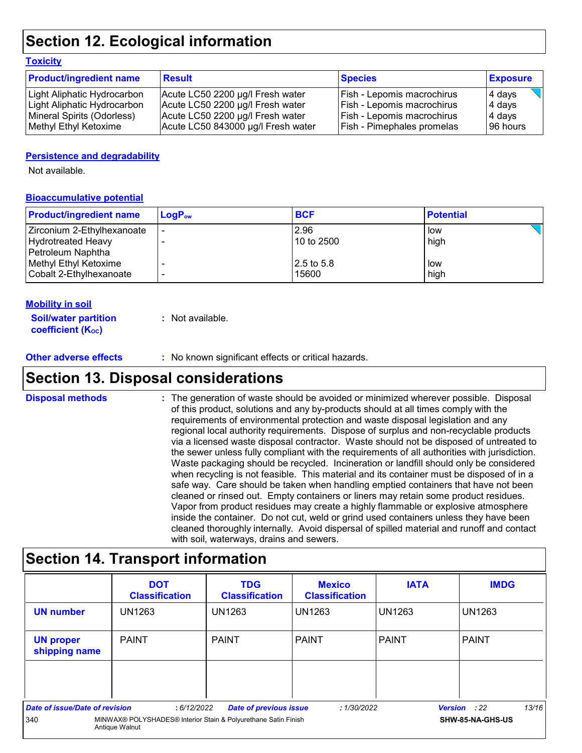## **Section 12. Ecological information**

#### **Toxicity**

| <b>Product/ingredient name</b> | <b>Result</b>                      | <b>Species</b>                    | <b>Exposure</b> |
|--------------------------------|------------------------------------|-----------------------------------|-----------------|
| Light Aliphatic Hydrocarbon    | Acute LC50 2200 µg/l Fresh water   | Fish - Lepomis macrochirus        | 4 days          |
| Light Aliphatic Hydrocarbon    | Acute LC50 2200 µg/l Fresh water   | Fish - Lepomis macrochirus        | 4 days          |
| Mineral Spirits (Odorless)     | Acute LC50 2200 µg/l Fresh water   | <b>Fish - Lepomis macrochirus</b> | 4 days          |
| Methyl Ethyl Ketoxime          | Acute LC50 843000 µg/l Fresh water | Fish - Pimephales promelas        | 196 hours       |

#### **Persistence and degradability**

Not available.

#### **Bioaccumulative potential**

| <b>Product/ingredient name</b> | $LoaPow$ | <b>BCF</b> | <b>Potential</b> |
|--------------------------------|----------|------------|------------------|
| Zirconium 2-Ethylhexanoate     |          | 2.96       | low              |
| <b>Hydrotreated Heavy</b>      |          | 10 to 2500 | high             |
| Petroleum Naphtha              |          |            |                  |
| Methyl Ethyl Ketoxime          |          | 2.5 to 5.8 | low              |
| Cobalt 2-Ethylhexanoate        |          | 15600      | high             |

#### **Mobility in soil**

| <b>Soil/water partition</b> | : Not available. |
|-----------------------------|------------------|
| <b>coefficient (Koc)</b>    |                  |

#### **Other adverse effects** : No known significant effects or critical hazards.

### **Section 13. Disposal considerations**

The generation of waste should be avoided or minimized wherever possible. Disposal of this product, solutions and any by-products should at all times comply with the requirements of environmental protection and waste disposal legislation and any regional local authority requirements. Dispose of surplus and non-recyclable products via a licensed waste disposal contractor. Waste should not be disposed of untreated to the sewer unless fully compliant with the requirements of all authorities with jurisdiction. Waste packaging should be recycled. Incineration or landfill should only be considered when recycling is not feasible. This material and its container must be disposed of in a safe way. Care should be taken when handling emptied containers that have not been cleaned or rinsed out. Empty containers or liners may retain some product residues. Vapor from product residues may create a highly flammable or explosive atmosphere inside the container. Do not cut, weld or grind used containers unless they have been cleaned thoroughly internally. Avoid dispersal of spilled material and runoff and contact with soil, waterways, drains and sewers. **Disposal methods :**

### **Section 14. Transport information**

|                                                                                         | <b>DOT</b><br><b>Classification</b> | <b>TDG</b><br><b>Classification</b> | <b>Mexico</b><br><b>Classification</b> | <b>IATA</b>      | <b>IMDG</b>                  |
|-----------------------------------------------------------------------------------------|-------------------------------------|-------------------------------------|----------------------------------------|------------------|------------------------------|
| <b>UN number</b>                                                                        | <b>UN1263</b>                       | <b>UN1263</b>                       | UN1263                                 | <b>UN1263</b>    | <b>UN1263</b>                |
| <b>UN proper</b><br>shipping name                                                       | <b>PAINT</b>                        | <b>PAINT</b>                        | <b>PAINT</b>                           | I PAINT          | <b>PAINT</b>                 |
|                                                                                         |                                     |                                     |                                        |                  |                              |
| <b>Date of issue/Date of revision</b>                                                   | :6/12/2022                          | <b>Date of previous issue</b>       | :1/30/2022                             |                  | 13/16<br><b>Version</b> : 22 |
| 340<br>MINWAX® POLYSHADES® Interior Stain & Polyurethane Satin Finish<br>Antique Walnut |                                     |                                     |                                        | SHW-85-NA-GHS-US |                              |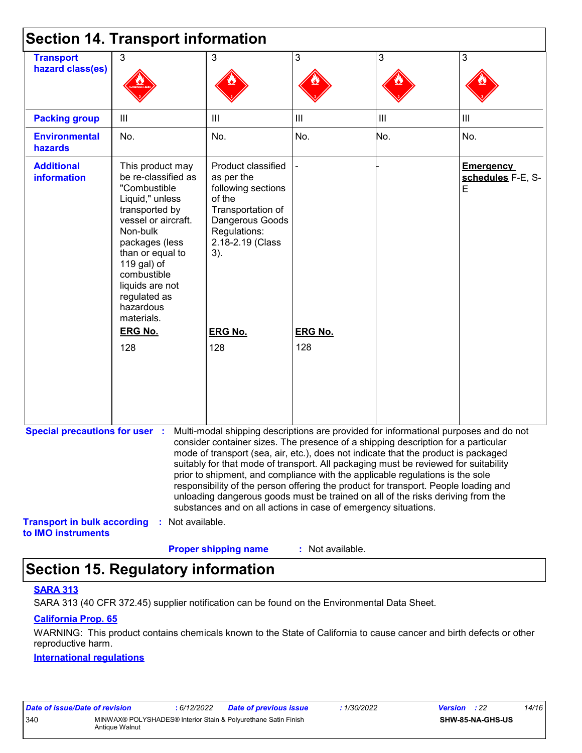|                                                          | <b>Section 14. Transport information</b>                                                                                                                                                                                                                          |                                                                                                                                                                                                                                                                                                                                                                                                                                                                                                                                                                                                                                                                                     |                  |                |                                            |
|----------------------------------------------------------|-------------------------------------------------------------------------------------------------------------------------------------------------------------------------------------------------------------------------------------------------------------------|-------------------------------------------------------------------------------------------------------------------------------------------------------------------------------------------------------------------------------------------------------------------------------------------------------------------------------------------------------------------------------------------------------------------------------------------------------------------------------------------------------------------------------------------------------------------------------------------------------------------------------------------------------------------------------------|------------------|----------------|--------------------------------------------|
| <b>Transport</b><br>hazard class(es)                     | 3                                                                                                                                                                                                                                                                 | 3                                                                                                                                                                                                                                                                                                                                                                                                                                                                                                                                                                                                                                                                                   | 3                | $\mathbf{3}$   | 3                                          |
| <b>Packing group</b>                                     | Ш                                                                                                                                                                                                                                                                 | Ш                                                                                                                                                                                                                                                                                                                                                                                                                                                                                                                                                                                                                                                                                   | III              | $\mathbf{III}$ | $\mathbf{III}$                             |
| <b>Environmental</b><br>hazards                          | No.                                                                                                                                                                                                                                                               | No.                                                                                                                                                                                                                                                                                                                                                                                                                                                                                                                                                                                                                                                                                 | No.              | No.            | No.                                        |
| <b>Additional</b><br><b>information</b>                  | This product may<br>be re-classified as<br>"Combustible<br>Liquid," unless<br>transported by<br>vessel or aircraft.<br>Non-bulk<br>packages (less<br>than or equal to<br>119 gal) of<br>combustible<br>liquids are not<br>regulated as<br>hazardous<br>materials. | Product classified<br>as per the<br>following sections<br>of the<br>Transportation of<br>Dangerous Goods<br>Regulations:<br>2.18-2.19 (Class<br>3).                                                                                                                                                                                                                                                                                                                                                                                                                                                                                                                                 |                  |                | <b>Emergency</b><br>schedules F-E, S-<br>E |
|                                                          | <b>ERG No.</b>                                                                                                                                                                                                                                                    | <b>ERG No.</b>                                                                                                                                                                                                                                                                                                                                                                                                                                                                                                                                                                                                                                                                      | <b>ERG No.</b>   |                |                                            |
|                                                          | 128                                                                                                                                                                                                                                                               | 128                                                                                                                                                                                                                                                                                                                                                                                                                                                                                                                                                                                                                                                                                 | 128              |                |                                            |
| <b>Special precautions for user :</b>                    |                                                                                                                                                                                                                                                                   | Multi-modal shipping descriptions are provided for informational purposes and do not<br>consider container sizes. The presence of a shipping description for a particular<br>mode of transport (sea, air, etc.), does not indicate that the product is packaged<br>suitably for that mode of transport. All packaging must be reviewed for suitability<br>prior to shipment, and compliance with the applicable regulations is the sole<br>responsibility of the person offering the product for transport. People loading and<br>unloading dangerous goods must be trained on all of the risks deriving from the<br>substances and on all actions in case of emergency situations. |                  |                |                                            |
| <b>Transport in bulk according</b><br>to IMO instruments | : Not available.                                                                                                                                                                                                                                                  | <b>Proper shipping name</b>                                                                                                                                                                                                                                                                                                                                                                                                                                                                                                                                                                                                                                                         | : Not available. |                |                                            |

## **Section 15. Regulatory information**

#### **SARA 313**

SARA 313 (40 CFR 372.45) supplier notification can be found on the Environmental Data Sheet.

#### **California Prop. 65**

WARNING: This product contains chemicals known to the State of California to cause cancer and birth defects or other reproductive harm.

#### **International regulations**

| Date of issue/Date of revision |                | : 6/12/2022 | Date of previous issue                                         | : 1/30/2022 | <b>Version</b> : 22 |                         | 14/16 |
|--------------------------------|----------------|-------------|----------------------------------------------------------------|-------------|---------------------|-------------------------|-------|
| 340                            | Antique Walnut |             | MINWAX® POLYSHADES® Interior Stain & Polyurethane Satin Finish |             |                     | <b>SHW-85-NA-GHS-US</b> |       |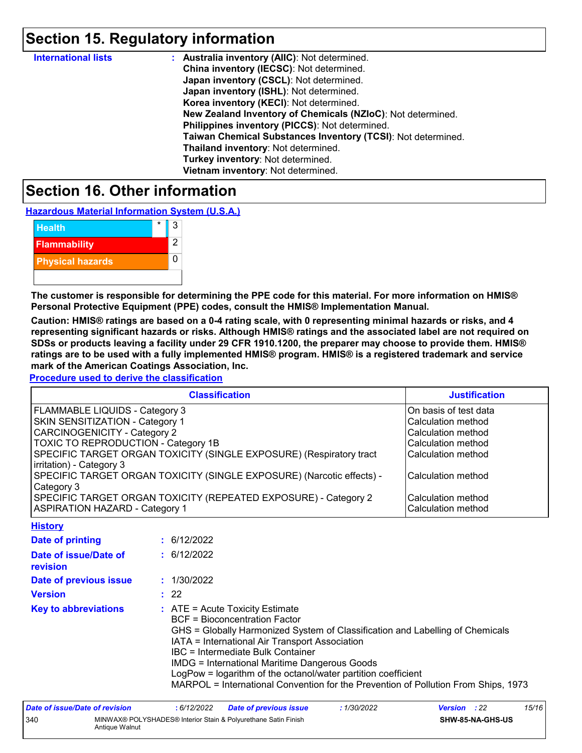## **Section 15. Regulatory information**

| <b>International lists</b> | <b>Australia inventory (AllC): Not determined.</b>           |
|----------------------------|--------------------------------------------------------------|
|                            | China inventory (IECSC): Not determined.                     |
|                            | Japan inventory (CSCL): Not determined.                      |
|                            | Japan inventory (ISHL): Not determined.                      |
|                            | Korea inventory (KECI): Not determined.                      |
|                            | New Zealand Inventory of Chemicals (NZIoC): Not determined.  |
|                            | Philippines inventory (PICCS): Not determined.               |
|                            | Taiwan Chemical Substances Inventory (TCSI): Not determined. |
|                            | Thailand inventory: Not determined.                          |
|                            | Turkey inventory: Not determined.                            |
|                            | Vietnam inventory: Not determined.                           |

### **Section 16. Other information**

**Hazardous Material Information System (U.S.A.)**



**The customer is responsible for determining the PPE code for this material. For more information on HMIS® Personal Protective Equipment (PPE) codes, consult the HMIS® Implementation Manual.**

**Caution: HMIS® ratings are based on a 0-4 rating scale, with 0 representing minimal hazards or risks, and 4 representing significant hazards or risks. Although HMIS® ratings and the associated label are not required on SDSs or products leaving a facility under 29 CFR 1910.1200, the preparer may choose to provide them. HMIS® ratings are to be used with a fully implemented HMIS® program. HMIS® is a registered trademark and service mark of the American Coatings Association, Inc.**

**Procedure used to derive the classification**

| <b>Classification</b>                                                 | <b>Justification</b>      |
|-----------------------------------------------------------------------|---------------------------|
| FLAMMABLE LIQUIDS - Category 3                                        | On basis of test data     |
| <b>SKIN SENSITIZATION - Category 1</b>                                | <b>Calculation method</b> |
| <b>CARCINOGENICITY - Category 2</b>                                   | Calculation method        |
| TOXIC TO REPRODUCTION - Category 1B                                   | Calculation method        |
| SPECIFIC TARGET ORGAN TOXICITY (SINGLE EXPOSURE) (Respiratory tract   | Calculation method        |
| irritation) - Category 3                                              |                           |
| SPECIFIC TARGET ORGAN TOXICITY (SINGLE EXPOSURE) (Narcotic effects) - | Calculation method        |
| Category 3                                                            |                           |
| SPECIFIC TARGET ORGAN TOXICITY (REPEATED EXPOSURE) - Category 2       | l Calculation method      |
| <b>ASPIRATION HAZARD - Category 1</b>                                 | Calculation method        |
| <b>A. A. A. A. A. A. A. A.</b>                                        |                           |

| <b>HISTORY</b>                    |                                                                                                                                                                                                                                                                                                                                                                                                                                                                           |
|-----------------------------------|---------------------------------------------------------------------------------------------------------------------------------------------------------------------------------------------------------------------------------------------------------------------------------------------------------------------------------------------------------------------------------------------------------------------------------------------------------------------------|
| Date of printing                  | : 6/12/2022                                                                                                                                                                                                                                                                                                                                                                                                                                                               |
| Date of issue/Date of<br>revision | : 6/12/2022                                                                                                                                                                                                                                                                                                                                                                                                                                                               |
| Date of previous issue            | : 1/30/2022                                                                                                                                                                                                                                                                                                                                                                                                                                                               |
| <b>Version</b>                    | $\div$ 22                                                                                                                                                                                                                                                                                                                                                                                                                                                                 |
| <b>Key to abbreviations</b>       | $\therefore$ ATE = Acute Toxicity Estimate<br><b>BCF</b> = Bioconcentration Factor<br>GHS = Globally Harmonized System of Classification and Labelling of Chemicals<br>IATA = International Air Transport Association<br>IBC = Intermediate Bulk Container<br><b>IMDG = International Maritime Dangerous Goods</b><br>LogPow = logarithm of the octanol/water partition coefficient<br>MARPOL = International Convention for the Prevention of Pollution From Ships, 1973 |

| Date of issue/Date of revision |                                                                                  | : 6/12/2022 | <b>Date of previous issue</b> | : 1/30/2022 | <b>Version</b> : 22     |  | 15/16 |
|--------------------------------|----------------------------------------------------------------------------------|-------------|-------------------------------|-------------|-------------------------|--|-------|
| 340                            | MINWAX® POLYSHADES® Interior Stain & Polyurethane Satin Finish<br>Antique Walnut |             |                               |             | <b>SHW-85-NA-GHS-US</b> |  |       |